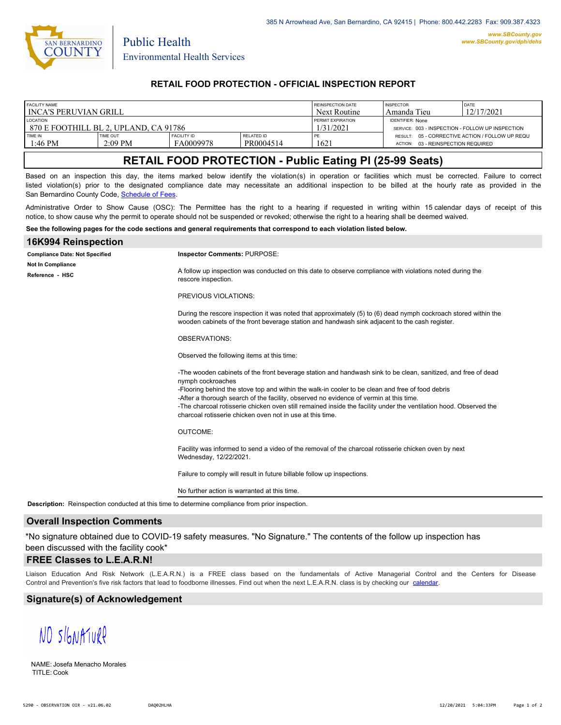

Public Health

## **RETAIL FOOD PROTECTION - OFFICIAL INSPECTION REPORT**

| <b>FACILITY NAME</b>                    |           |                    |                   | <b>REINSPECTION DATE</b> | <b>INSPECTOR</b>                                 | DATE                                            |
|-----------------------------------------|-----------|--------------------|-------------------|--------------------------|--------------------------------------------------|-------------------------------------------------|
| l INCA'S PERUVIAN GRILL                 |           |                    |                   | Next Routine             | Amanda Tieu                                      | 12/17/2021                                      |
| <b>LOCATION</b>                         |           |                    |                   | <b>PERMIT EXPIRATION</b> | <b>IDENTIFIER: None</b>                          |                                                 |
| 1 870 E FOOTHILL BL 2. UPLAND. CA 91786 |           |                    |                   | /31/2021                 | SERVICE: 003 - INSPECTION - FOLLOW UP INSPECTION |                                                 |
| TIME IN                                 | TIME OUT  | <b>FACILITY ID</b> | <b>RELATED ID</b> | PE                       |                                                  | RESULT: 05 - CORRECTIVE ACTION / FOLLOW UP REQU |
| $1:46$ PM                               | $2:09$ PM | FA0009978          | PR0004514         | 1621                     | 03 - REINSPECTION REQUIRED<br><b>ACTION:</b>     |                                                 |

# **RETAIL FOOD PROTECTION - Public Eating Pl (25-99 Seats)**

Based on an inspection this day, the items marked below identify the violation(s) in operation or facilities which must be corrected. Failure to correct listed violation(s) prior to the designated compliance date may necessitate an additional inspection to be billed at the hourly rate as provided in the San Bernardino County Code, Schedule of Fees

Administrative Order to Show Cause (OSC): The Permittee has the right to a hearing if requested in writing within 15 calendar days of receipt of this notice, to show cause why the permit to operate should not be suspended or revoked; otherwise the right to a hearing shall be deemed waived.

#### **See the following pages for the code sections and general requirements that correspond to each violation listed below.**

| 16K994 Reinspection                   |                                                                                                                                                                                                                                                                                                                                                                                                                                                                                                                    |  |  |  |  |
|---------------------------------------|--------------------------------------------------------------------------------------------------------------------------------------------------------------------------------------------------------------------------------------------------------------------------------------------------------------------------------------------------------------------------------------------------------------------------------------------------------------------------------------------------------------------|--|--|--|--|
| <b>Compliance Date: Not Specified</b> | Inspector Comments: PURPOSE:                                                                                                                                                                                                                                                                                                                                                                                                                                                                                       |  |  |  |  |
| Not In Compliance<br>Reference - HSC  | A follow up inspection was conducted on this date to observe compliance with violations noted during the<br>rescore inspection.                                                                                                                                                                                                                                                                                                                                                                                    |  |  |  |  |
|                                       | PREVIOUS VIOLATIONS:                                                                                                                                                                                                                                                                                                                                                                                                                                                                                               |  |  |  |  |
|                                       | During the rescore inspection it was noted that approximately (5) to (6) dead nymph cockroach stored within the<br>wooden cabinets of the front beverage station and handwash sink adjacent to the cash register.                                                                                                                                                                                                                                                                                                  |  |  |  |  |
|                                       | <b>OBSERVATIONS:</b>                                                                                                                                                                                                                                                                                                                                                                                                                                                                                               |  |  |  |  |
|                                       | Observed the following items at this time:                                                                                                                                                                                                                                                                                                                                                                                                                                                                         |  |  |  |  |
|                                       | -The wooden cabinets of the front beverage station and handwash sink to be clean, sanitized, and free of dead<br>nymph cockroaches<br>-Flooring behind the stove top and within the walk-in cooler to be clean and free of food debris<br>-After a thorough search of the facility, observed no evidence of vermin at this time.<br>-The charcoal rotisserie chicken oven still remained inside the facility under the ventilation hood. Observed the<br>charcoal rotisserie chicken oven not in use at this time. |  |  |  |  |
|                                       | <b>OUTCOME:</b>                                                                                                                                                                                                                                                                                                                                                                                                                                                                                                    |  |  |  |  |
|                                       | Facility was informed to send a video of the removal of the charcoal rotisserie chicken oven by next<br>Wednesday, 12/22/2021.                                                                                                                                                                                                                                                                                                                                                                                     |  |  |  |  |
|                                       | Failure to comply will result in future billable follow up inspections.                                                                                                                                                                                                                                                                                                                                                                                                                                            |  |  |  |  |
|                                       | No further action is warranted at this time.                                                                                                                                                                                                                                                                                                                                                                                                                                                                       |  |  |  |  |

**Description:** Reinspection conducted at this time to determine compliance from prior inspection.

#### **Overall Inspection Comments**

\*No signature obtained due to COVID-19 safety measures. "No Signature." The contents of the follow up inspection has been discussed with the facility cook\*

### **FREE Classes to L.E.A.R.N!**

Liaison Education And Risk Network (L.E.A.R.N.) is a FREE class based on the fundamentals of Active Managerial Control and [the Centers](http://wp.sbcounty.gov/dph/events/) for Disease Control and Prevention's five risk factors that lead to foodborne illnesses. Find out when the next L.E.A.R.N. class is by checking our calendar.

### **Signature(s) of Acknowledgement**

NO SIGNATURP

NAME: Josefa Menacho Morales TITLE: Cook